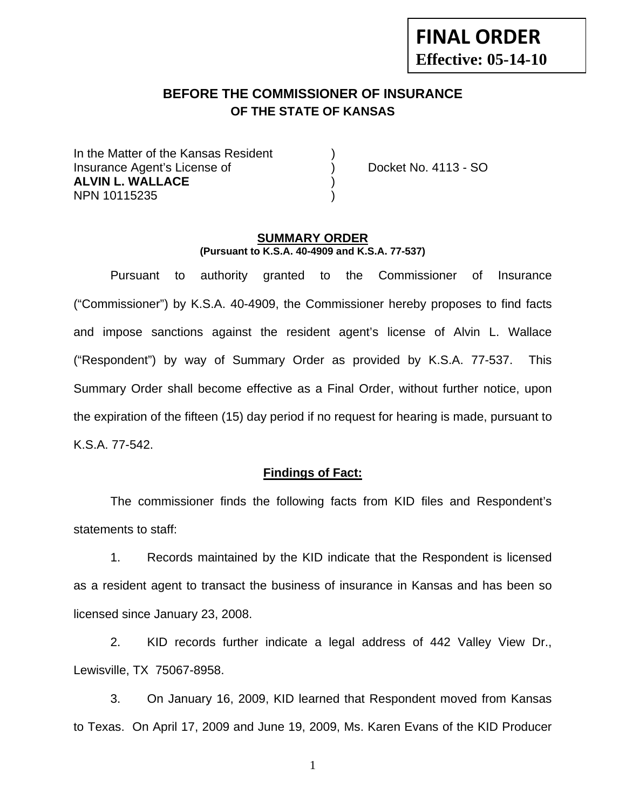## **FINAL ORDER Effective: 05-14-10**

## **BEFORE THE COMMISSIONER OF INSURANCE OF THE STATE OF KANSAS**

In the Matter of the Kansas Resident Insurance Agent's License of ) Docket No. 4113 - SO **ALVIN L. WALLACE** ) NPN 10115235 )

#### **SUMMARY ORDER (Pursuant to K.S.A. 40-4909 and K.S.A. 77-537)**

 Pursuant to authority granted to the Commissioner of Insurance ("Commissioner") by K.S.A. 40-4909, the Commissioner hereby proposes to find facts and impose sanctions against the resident agent's license of Alvin L. Wallace ("Respondent") by way of Summary Order as provided by K.S.A. 77-537. This Summary Order shall become effective as a Final Order, without further notice, upon the expiration of the fifteen (15) day period if no request for hearing is made, pursuant to K.S.A. 77-542.

#### **Findings of Fact:**

 The commissioner finds the following facts from KID files and Respondent's statements to staff:

 1. Records maintained by the KID indicate that the Respondent is licensed as a resident agent to transact the business of insurance in Kansas and has been so licensed since January 23, 2008.

 2. KID records further indicate a legal address of 442 Valley View Dr., Lewisville, TX 75067-8958.

 3. On January 16, 2009, KID learned that Respondent moved from Kansas to Texas. On April 17, 2009 and June 19, 2009, Ms. Karen Evans of the KID Producer

1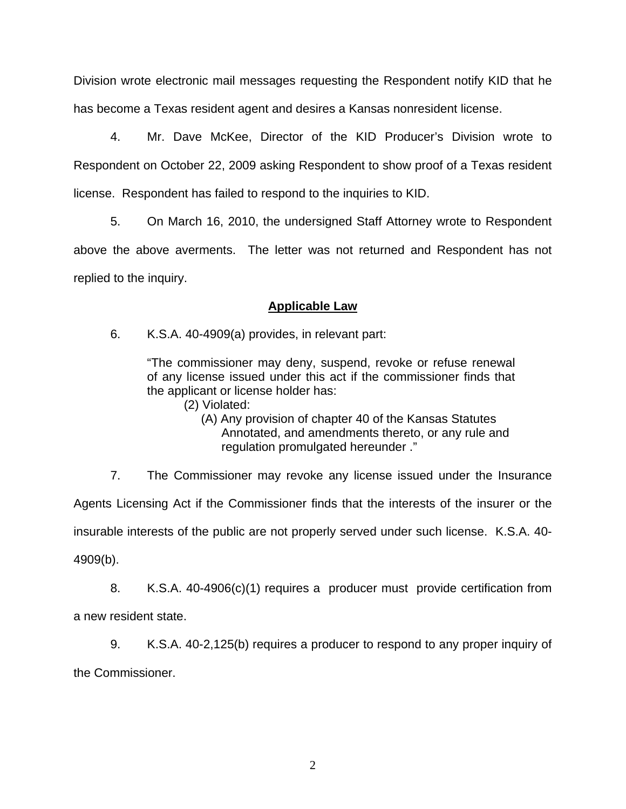Division wrote electronic mail messages requesting the Respondent notify KID that he has become a Texas resident agent and desires a Kansas nonresident license.

 4. Mr. Dave McKee, Director of the KID Producer's Division wrote to Respondent on October 22, 2009 asking Respondent to show proof of a Texas resident license. Respondent has failed to respond to the inquiries to KID.

 5. On March 16, 2010, the undersigned Staff Attorney wrote to Respondent above the above averments. The letter was not returned and Respondent has not replied to the inquiry.

## **Applicable Law**

6. K.S.A. 40-4909(a) provides, in relevant part:

"The commissioner may deny, suspend, revoke or refuse renewal of any license issued under this act if the commissioner finds that the applicant or license holder has:

(2) Violated:

 (A) Any provision of chapter 40 of the Kansas Statutes Annotated, and amendments thereto, or any rule and regulation promulgated hereunder ."

 7. The Commissioner may revoke any license issued under the Insurance Agents Licensing Act if the Commissioner finds that the interests of the insurer or the insurable interests of the public are not properly served under such license. K.S.A. 40- 4909(b).

 8. K.S.A. 40-4906(c)(1) requires a producer must provide certification from a new resident state.

 9. K.S.A. 40-2,125(b) requires a producer to respond to any proper inquiry of the Commissioner.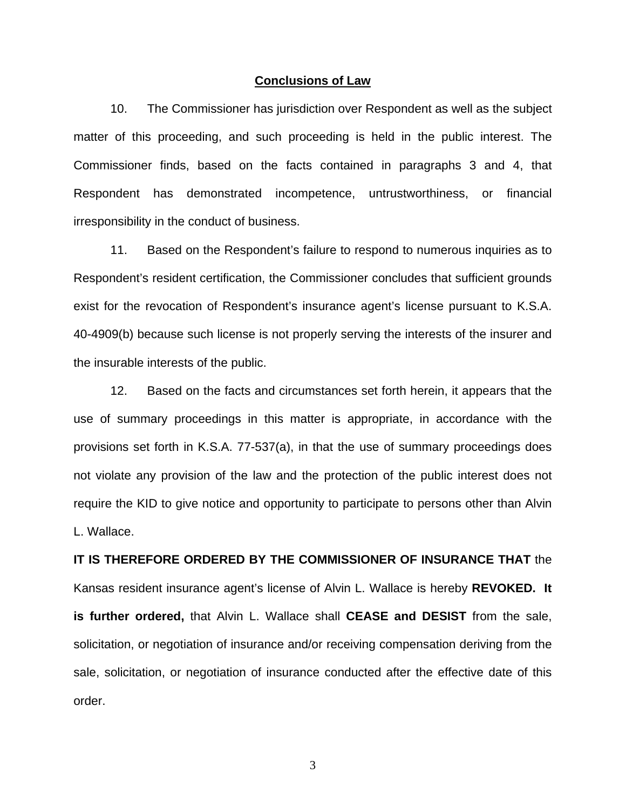#### **Conclusions of Law**

 10. The Commissioner has jurisdiction over Respondent as well as the subject matter of this proceeding, and such proceeding is held in the public interest. The Commissioner finds, based on the facts contained in paragraphs 3 and 4, that Respondent has demonstrated incompetence, untrustworthiness, or financial irresponsibility in the conduct of business.

 11. Based on the Respondent's failure to respond to numerous inquiries as to Respondent's resident certification, the Commissioner concludes that sufficient grounds exist for the revocation of Respondent's insurance agent's license pursuant to K.S.A. 40-4909(b) because such license is not properly serving the interests of the insurer and the insurable interests of the public.

 12. Based on the facts and circumstances set forth herein, it appears that the use of summary proceedings in this matter is appropriate, in accordance with the provisions set forth in K.S.A. 77-537(a), in that the use of summary proceedings does not violate any provision of the law and the protection of the public interest does not require the KID to give notice and opportunity to participate to persons other than Alvin L. Wallace.

# **IT IS THEREFORE ORDERED BY THE COMMISSIONER OF INSURANCE THAT** the Kansas resident insurance agent's license of Alvin L. Wallace is hereby **REVOKED. It is further ordered,** that Alvin L. Wallace shall **CEASE and DESIST** from the sale, solicitation, or negotiation of insurance and/or receiving compensation deriving from the sale, solicitation, or negotiation of insurance conducted after the effective date of this order.

3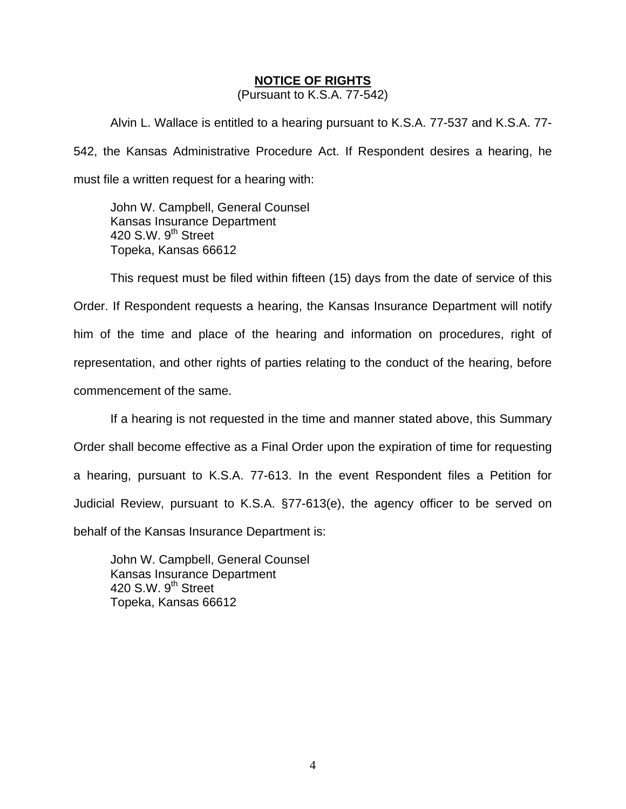#### **NOTICE OF RIGHTS**

(Pursuant to K.S.A. 77-542)

Alvin L. Wallace is entitled to a hearing pursuant to K.S.A. 77-537 and K.S.A. 77- 542, the Kansas Administrative Procedure Act. If Respondent desires a hearing, he must file a written request for a hearing with:

 John W. Campbell, General Counsel Kansas Insurance Department 420 S.W.  $9<sup>th</sup>$  Street Topeka, Kansas 66612

This request must be filed within fifteen (15) days from the date of service of this Order. If Respondent requests a hearing, the Kansas Insurance Department will notify him of the time and place of the hearing and information on procedures, right of representation, and other rights of parties relating to the conduct of the hearing, before commencement of the same.

If a hearing is not requested in the time and manner stated above, this Summary Order shall become effective as a Final Order upon the expiration of time for requesting a hearing, pursuant to K.S.A. 77-613. In the event Respondent files a Petition for Judicial Review, pursuant to K.S.A. §77-613(e), the agency officer to be served on behalf of the Kansas Insurance Department is:

 John W. Campbell, General Counsel Kansas Insurance Department 420 S.W. 9<sup>th</sup> Street Topeka, Kansas 66612